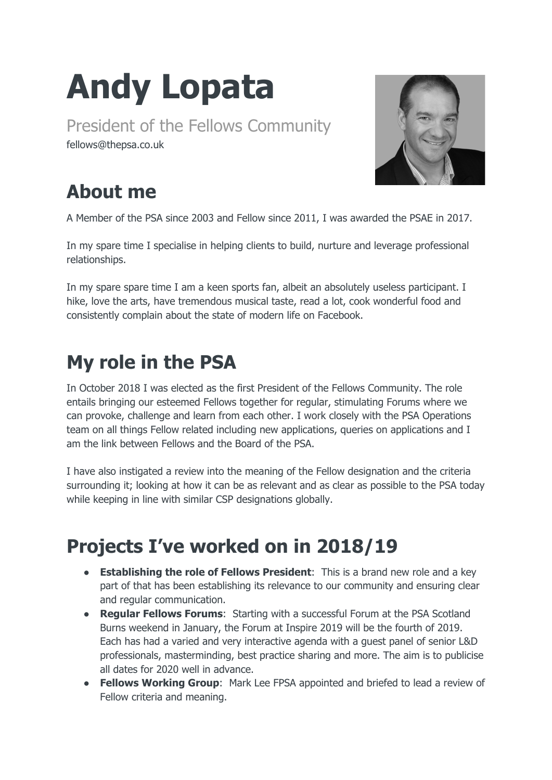## **Andy Lopata**

President of the Fellows Community fellows@thepsa.co.uk



## **About me**

A Member of the PSA since 2003 and Fellow since 2011, I was awarded the PSAE in 2017.

In my spare time I specialise in helping clients to build, nurture and leverage professional relationships.

In my spare spare time I am a keen sports fan, albeit an absolutely useless participant. I hike, love the arts, have tremendous musical taste, read a lot, cook wonderful food and consistently complain about the state of modern life on Facebook.

## **My role in the PSA**

In October 2018 I was elected as the first President of the Fellows Community. The role entails bringing our esteemed Fellows together for regular, stimulating Forums where we can provoke, challenge and learn from each other. I work closely with the PSA Operations team on all things Fellow related including new applications, queries on applications and I am the link between Fellows and the Board of the PSA.

I have also instigated a review into the meaning of the Fellow designation and the criteria surrounding it; looking at how it can be as relevant and as clear as possible to the PSA today while keeping in line with similar CSP designations globally.

## **Projects I've worked on in 2018/19**

- **Establishing the role of Fellows President**: This is a brand new role and a key part of that has been establishing its relevance to our community and ensuring clear and regular communication.
- **Regular Fellows Forums**: Starting with a successful Forum at the PSA Scotland Burns weekend in January, the Forum at Inspire 2019 will be the fourth of 2019. Each has had a varied and very interactive agenda with a guest panel of senior L&D professionals, masterminding, best practice sharing and more. The aim is to publicise all dates for 2020 well in advance.
- **Fellows Working Group:** Mark Lee FPSA appointed and briefed to lead a review of Fellow criteria and meaning.